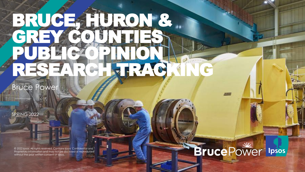# BRUCE, HURON & GREY COUNTIES PUBLIC OPINION RESERVED OF

Bruce Power

SPRING 2022

© 2020 Ipsos. All rights reserved. Contains Ipsos' Confidential and © 2022 Ipsos. All rights reserved. Contains Ipsos' Confidential and Proprietary information and may not be disclosed or reproduced Proprietary information and may not be disclosed or reproduced without the prior written consent of Ipsos. without the prior written consent of Ipsos.

# BrucePower Ipsos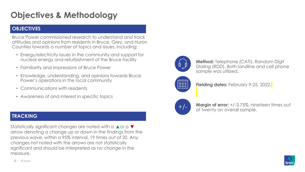### **Objectives & Methodology**

#### **OBJECTIVES**

Bruce Power commissioned research to understand and track attitudes and opinions from residents in Bruce, Grey, and Huron Counties towards a number of topics and issues, including:

- Energy/electricity issues in the community and support for nuclear energy and refurbishment of the Bruce facility
- Familiarity and impressions of Bruce Power
- Knowledge, understanding, and opinions towards Bruce Power's operations in the local community
- Communications with residents
- Awareness of and interest in specific topics

#### **TRACKING**

Statistically significant changes are noted with a  $\triangle$  or a  $\blacktriangledown$ arrow denoting a change up or down in the findings from the previous wave, within a 95% interval, 19 times out of 20. Any changes not noted with the arrows are not statistically significant and should be interpreted as no change in the measure.



**Method:** Telephone (CATI), Random Digit Dialing (RDD). Both landline and cell phone sample was utilized.



**Fielding dates:** February 9-25, 2022.



**Margin of error:**  $+/-3.75\%$ , nineteen times out **The part of twenty on overall sample.**<br>The part of twenty on overall sample.

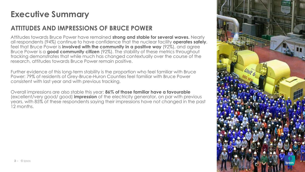### **Executive Summary**

#### **ATTITUDES AND IMPRESSIONS OF BRUCE POWER**

Attitudes towards Bruce Power have remained **strong and stable for several waves.** Nearly all respondents (94%) continue to have confidence that the nuclear facility **operates safely**, feel that Bruce Power is **involved with the community in a positive way** (92%), and agree Bruce Power is a **good community citizen** (92%). The stability of these metrics throughout tracking demonstrates that while much has changed contextually over the course of the research, attitudes towards Bruce Power remain positive.

Further evidence of this long-term stability is the proportion who feel familiar with Bruce Power: 79% of residents of Grey-Bruce-Huron Counties feel familiar with Bruce Power consistent with last year and with previous tracking.

Overall impressions are also stable this year: **86% of those familiar have a favourable**  (excellent/very good/ good) **impression** of the electricity generator, on par with previous years, with 85% of these respondents saying their impressions have not changed in the past 12 months.

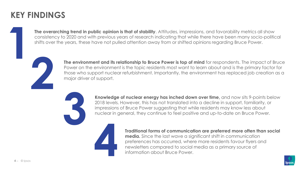#### **KEY FINDINGS**

**The overarching trend in public opinion is that of stability.** Attitudes, impressions, and favorability metrics all show consistency to 2020 and with previous years of research indicating that while there have been many socio-political shifts over the years, these have not pulled attention away from or shifted opinions regarding Bruce Power.



**The environment and its relationship to Bruce Power is top of mind** for respondents. The impact of Bruce Power on the environment is the topic residents most want to learn about and is the primary factor for those who support nuclear refurbishment. Importantly, the environment has replaced job creation as a major driver of support.



**Knowledge of nuclear energy has inched down over time,** and now sits 9-points below 2018 levels. However, this has not translated into a decline in support, familiarity, or **Knowledge of nuclear energy has inched down over time**, and now sits 9-points b<br>2018 levels. However, this has not translated into a decline in support, familiarity, o<br>impressions of Bruce Power suggesting that while resi



**Traditional forms of communication are preferred more often than social media.** Since the last wave a significant shift in communication preferences has occurred, where more residents favour flyers and newsletters compared to social media as a primary source of information about Bruce Power.

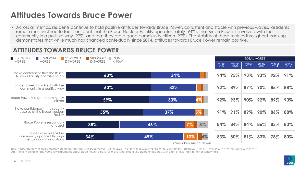### **Attitudes Towards Bruce Power**

• Across all metrics, residents continue to hold positive attitudes towards Bruce Power, consistent and stable with previous waves. Residents remain most inclined to feel confident that the Bruce Nuclear Facility operates safely (94%), that Bruce Power is involved with the community in a positive way (92%) and that they are a good community citizen (92%). The stability of these metrics throughout tracking demonstrates that while much has changed contextually since 2014, attitudes towards Bruce Power remain positive.

#### **ATTITUDES TOWARDS BRUCE POWER 60% 60% 59% 55% 38% 34% 34% 32% 33% 37% 46% 49% 4% 5% 7% 10% 8% 4%** I have confidence that the Bruce Nuclear Facility operates safely Bruce Power is involved with the community in a positive way Bruce Power is a good community citizen I have confidence in the security measures at the Bruce Nuclear Facility Bruce Power is responsibly managed Bruce Power keeps the community updated through regular communications STRONGLY AGREE **SOMEWHAT** AGREE SOMEWHAT STRONGLY DON'T DISAGREE DISAGREE KNOW TOTAL AGREE **Winter** 2022 **Winter** 2020 **Winter** 2018 Spring 2017 Winter  $2014$ Spring 2014 **94% 95% 93% 93% 92% 91% 92% 89% 87% 90% 85% 88% 92% 93% 90% 92% 89% 90% 91% 91% 89% 90% 86% 88% 84% 84% 84% 86% 83% 80% 83% 80% 81% 83% 78% 80%** Value labels <4% not shown

Base: Respondents who indicated they are at least familiar with Bruce Power – Winter 2022 (n=648); Winter 2020 (n=575); Winter 2018 (n=816); Spring 2017 (n=477); Winter 2014 (n=477); Spring 2014 (n=477) Q15. I'm now going to read you a few statements about Bruce Power, please tell me to what extent you agree or disagree with each one. Is that strongly or somewhat?

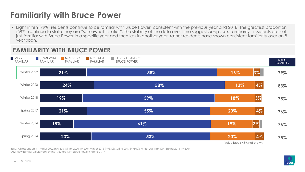### **Familiarity with Bruce Power**

• Eight in ten (79%) residents continue to be familiar with Bruce Power, consistent with the previous year and 2018. The greatest proportion (58%) continue to state they are "somewhat familiar". The stability of the data over time suggests *long term* familiarity - residents are not just familiar with Bruce Power in a specific year and then less in another year, rather residents have shown consistent familiarity over an 8 year span.



Base: All respondents – Winter 2022 (n=680); Winter 2020 (n=600); Winter 2018 (n=850); Spring 2017 (n=500); Winter 2014 (n=500); Spring 2014 (n=500) Q12. How familiar would you say that you are with Bruce Power? Are you …?

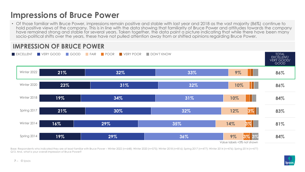### **Impressions of Bruce Power**

• Of those familiar with Bruce Power, impressions remain positive and stable with last year and 2018 as the vast majority (86%) continue to hold positive views of the company. This is in line with the data showing that familiarity of Bruce Power and attitudes towards the company have remained strong and stable for several years. Taken together, the data paint a picture indicating that while there have been many socio-political shifts over the years, these have not pulled attention away from or shifted opinions regarding Bruce Power.

#### **IMPRESSION OF BRUCE POWER**



Base: Respondents who indicated they are at least familiar with Bruce Power – Winter 2022 (n=648); Winter 2020 (n=575); Winter 2018 (n=816); Spring 2017 (n=477); Winter 2014 (n=476); Spring 2014 (n=477) Q13. And, what is your overall impression of Bruce Power?

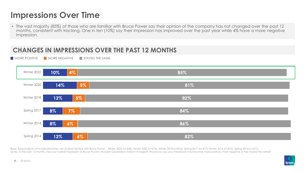### **Impressions Over Time**

• The vast majority (85%) of those who are familiar with Bruce Power say their opinion of the company has not changed over the past 12 months, consistent with tracking. One in ten (10%) say their impression has improved over the past year while 4% have a more negative impression.

#### **CHANGES IN IMPRESSIONS OVER THE PAST 12 MONTHS**





Base: Respondents who indicated they are at least familiar with Bruce Power – Winter 2022 (n=648); Winter 2020 (n=575); Winter 2018 (n=816); Spring 2017 (n=477); Winter 2014 (n=476); Spring 2014 (n=477) Q14a. In the past 12 months, has your overall impression of Bruce Power's Nuclear Generation station changed? Would you say your impression has become more positive, more negative or has stayed the same?

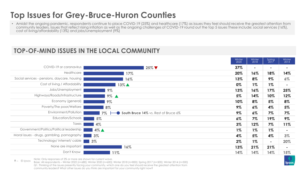### **Top Issues for Grey-Bruce-Huron Counties**

• Amidst the ongoing pandemic, respondents continue to place COVID-19 (25%) and healthcare (17%) as issues they feel should receive the greatest attention from community leaders. Issues that reflect rising inflation as well as the ongoing challenges of COVID-19 round out the top 5 issues These include: social services (16%), cost of living/affordability (13%) and jobs/unemployment (9%)

#### **TOP-OF-MIND ISSUES IN THE LOCAL COMMUNITY**

|                                              |                                               | Winter<br>2020 | Winter<br>2018 | Spring<br>2017 | Winter<br>2014           |
|----------------------------------------------|-----------------------------------------------|----------------|----------------|----------------|--------------------------|
| COVID-19 or coronavirus                      | $25\%$ $\nabla$                               | 37%            | ۰              | $\sim$         |                          |
| Healthcare                                   | $17\%$                                        | 20%            | 16%            | 18%            | 14%                      |
| Social services - pensions, daycare, housing | 16%                                           | 13%            | $8\%$          | 9%             | $6\%$                    |
| Cost of living / Affordability               | $13\%$ $\triangle$                            | 0%             | $1\%$          | $1\%$          | $\blacksquare$           |
| Jobs/Unemployment                            | 9%                                            | 13%            | 16%            | $17\%$         | 25%                      |
| Highways/Roads/Infrastructure                | $9\%$ $\triangle$                             | 5%             | 14%            | $10\%$         | 12%                      |
| Economy (general)                            | 9%                                            | 10%            | 8%             | 5%             | 8%                       |
| Poverty/The poor/Welfare                     | 8%                                            | 9%             | 6%             | 4%             | 5%                       |
| Environment/Pollution                        | South Bruce 14% vs. Rest of Bruce 6%<br>$7\%$ | 9%             | $6\%$          | 7%             | $7\%$                    |
| Education/Schools                            | 5%                                            | $6\%$          | $7\%$          | 19%            | 9%                       |
| Taxes                                        | 4%                                            | 3%             | 12%            | 7%             | 11%                      |
| Government/Politics/Political leadership     | $4\%$ $\triangle$                             | $1\%$          | $1\%$          | $1\%$          | $\blacksquare$           |
| Moral issues - drugs, gambling, pornography  | 3%                                            | 4%             | 5%             | 4%             | 3%                       |
| Technology/internet/cable                    | 3%                                            | $2\%$          | $1\%$          | $\sim$         | 20%                      |
| None are important                           | 16%                                           | 13%            | 21%            | 21%            | $\overline{\phantom{a}}$ |
| Don't Know                                   | 11%                                           | 14%            | 14%            | 14%            | 15%                      |

**9** ‒ © Ipsos Note: Only responses of 2% or more are shown for current wave.

Base: All respondents – Winter 2022 (n=680); Winter 2020 (n=600); Winter 2018 (n=850); Spring 2017 (n=500); Winter 2014 (n=500) Q1. Thinking of the issues presently facing your community, which one do you feel should receive the greatest attention from community leaders? What other issues do you think are important for your community right now?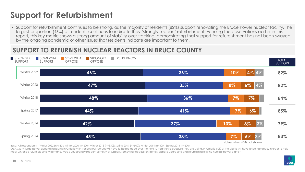### **Support for Refurbishment**

• Support for refurbishment continues to be strong, as the majority of residents (82%) support renovating the Bruce Power nuclear facility. The largest proportion (46%) of residents continues to indicate they 'strongly support' refurbishment. Echoing the observations earlier in this report, this key metric shows a strong amount of stability over tracking, demonstrating that support for refurbishment has not been swayed by the ongoing pandemic or other issues that residents indicate are important to them.

#### **SUPPORT TO REFURBISH NUCLEAR REACTORS IN BRUCE COUNTY**



Base: All respondents – Winter 2022 (n=680); Winter 2020 (n=600); Winter 2018 (n=850); Spring 2017 (n=500); Winter 2014 (n=500); Spring 2014 (n=500)

Q6A. Many large power generating plants in Ontario with various fuel sources will have to be replaced over the next 10 years or so because they are aging. In Ontario 80% of the plants will have to be replaced. In order to meet Ontario's future electricity demand, would you strongly support, somewhat support, somewhat oppose or strongly oppose upgrading and refurbishing existing nuclear power plants?

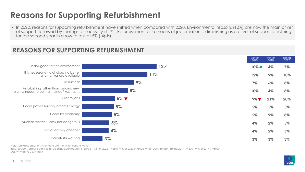## **Reasons for Supporting Refurbishment**

• In 2022, reasons for supporting refurbishment have shifted when compared with 2020. Environmental reasons (12%) are now the main driver of support, followed by feelings of necessity (11%). Refurbishment as a means of job creation is diminishing as a driver of support, declining for the second year in a row to rest at 5% (-4pts).

| <b>REASONS FOR SUPPORTING REFURBISHMENT</b>                                      |                            |                    |                |                |
|----------------------------------------------------------------------------------|----------------------------|--------------------|----------------|----------------|
|                                                                                  |                            | Winter<br>2020     | Winter<br>2018 | Spring<br>2017 |
| Clean/good for the environment                                                   | 12%                        | $10\%$ $\triangle$ | 4%             | 7%             |
| It is necessary/ no choice/ no better<br>alternatives are available              | 11%                        | 12%                | 9%             | 10%            |
| Like nuclear                                                                     | 9%                         | $7\%$              | $6\%$          | 8%             |
| Refurbishing rather than building new<br>plants/ needs to be maintained/ kept up | 8%                         | 10%                | 4%             | 8%             |
| Create jobs                                                                      | $5\%$ $\blacktriangledown$ | $9\%$              | 21%            | 20%            |
| Good power source/ creates energy                                                | 5%                         | 5%                 | 5%             | 5%             |
| Good for economy                                                                 | 5%                         | 5%                 | 9%             | 8%             |
| Nuclear power is safe/not dangerous                                              | 5%                         | 4%                 | $2\%$          | 5%             |
| Cost effective/ cheaper                                                          | $4\%$                      | 4%                 | $2\%$          | 3%             |
| Efficient/ it's working                                                          | 3%                         | 3%                 | 3%             | 3%             |

Note: Only responses of 3% or more are shown for current wave.

Base: Support/oppose plans to refurbish nuclear reactors in Bruce – Winter 2022 (n=680); Winter 2020 (n=600); Winter 2018 (n=850); Spring 2017 (n=500); Winter 2014 (n=500) Q6B Why do you say that?

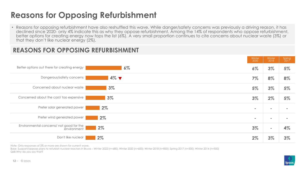## **Reasons for Opposing Refurbishment**

• Reasons for opposing refurbishment have also reshuffled this wave. While danger/safety concerns was previously a driving reason, it has declined since 2020- only 4% indicate this as why they oppose refurbishment. Among the 14% of respondents who oppose refurbishment, better options for creating energy now tops the list (6%). A very small proportion continues to cite concerns about nuclear waste (3%) or that they don't like nuclear energy (2%).

|                                                                  | Winter<br>2020 | Winter<br>2018 | Spring<br>2017 |
|------------------------------------------------------------------|----------------|----------------|----------------|
| Better options out there for creating energy<br>6%               | $6\%$          | 3%             | 5%             |
| Dangerous/safety concerns<br>$4\%$ $\blacktriangledown$          | $7\%$          | 8%             | 8%             |
| $3\%$<br>Concerned about nuclear waste                           | 5%             | 3%             | 5%             |
| Concerned about the cost/ too expensive<br>$3\%$                 | 3%             | $2\%$          | 5%             |
| Prefer solar generated power<br>$2\%$                            | $\equiv$       | $\equiv$       | $\equiv$       |
| Prefer wind generated power<br>$2\%$                             | $\equiv$       | $\equiv$       | $\equiv$       |
| Environmental concerns/ not good for the<br>$2\%$<br>environment | $3\%$          | $\sim$         | 4%             |
| Don't like nuclear<br>$2\%$                                      | $2\%$          | 3%             | $3\%$          |

#### **REASONS FOR OPPOSING REFURBISHMENT**

Note: Only responses of 2% or more are shown for current wave.

Base: Support/oppose plans to refurbish nuclear reactors in Bruce – Winter 2022 (n=680), Winter 2020 (n=600); Winter 2018 (n=850); Spring 2017 (n=500); Winter 2014 (n=500) Q6B Why do you say that?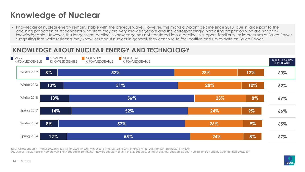### **Knowledge of Nuclear**

• Knowledge of nuclear energy remains stable with the previous wave. However, this marks a 9-point decline since 2018, due in large part to the declining proportion of respondents who state they are *very knowledgeable* and the correspondingly increasing proportion who are *not at all knowledgeable*. However, this longer-term decline in knowledge has not translated into a decline in support, familiarity, or impressions of Bruce Power suggesting that while residents may know less about nuclear in general, they continue to feel positive and up-to-date on Bruce Power.

#### **KNOWLEDGE ABOUT NUCLEAR ENERGY AND TECHNOLOGY**



Base: All respondents – Winter 2022 (n=680); Winter 2020 (n=600); Winter 2018 (n=850); Spring 2017 (n=500); Winter 2014 (n=500); Spring 2014 (n=500)

Q3. Overall, would you say you are very knowledgeable, somewhat knowledgeable, not very knowledgeable, or not at all knowledgeable about nuclear energy and nuclear technology issues?

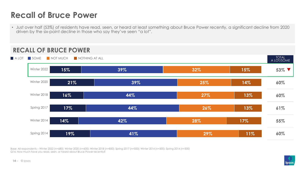### **Recall of Bruce Power**

• Just over half (53%) of residents have read, seen, or heard at least something about Bruce Power recently, a significant decline from 2020 driven by the six-point decline in those who say they've seen "a lot".



Base: All respondents – Winter 2022 (n=680); Winter 2020 (n=600); Winter 2018 (n=850); Spring 2017 (n=500); Winter 2014 (n=500); Spring 2014 (n=500) Q14. How much have you read, seen, or heard about Bruce Power recently?

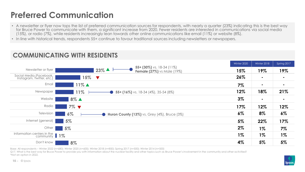### **Preferred Communication**

- A newsletter or flyer now tops the list of preferred communication sources for respondents, with nearly a quarter (23%) indicating this is the best way for Bruce Power to communicate with them, a significant increase from 2020. Fewer residents are interested in communications via social media (15%), or radio (7%), while residents increasingly lean towards other online communications like email (11%) or website (8%).
- In line with historical trends, respondents 55+ continue to favour traditional sources including newsletters or newspapers.

#### **COMMUNICATING WITH RESIDENTS**

|                                                      |                                                                                      | Winter 2020 | Winter 2018    | Spring 2017    |
|------------------------------------------------------|--------------------------------------------------------------------------------------|-------------|----------------|----------------|
| Newsletter or flyer                                  | 55+ (30%) vs. 18-34 (11%)<br>$23\%$ $\triangle$<br><b>Female (27%)</b> vs Male (19%) | 15%         | 19%            | 19%            |
| Social Media (Facebook,<br>Instagram, Twitter, etc.) | 15%<br>V                                                                             | 26%         | $\blacksquare$ | $\blacksquare$ |
| Email                                                | $11\%$ $\triangle$                                                                   | $7\%$       | $\blacksquare$ |                |
| Newspaper                                            | $11\%$<br>55+ $(16\%)$ vs. 18-34 $(4\%)$ , 35-54 $(8\%)$                             | 12%         | 18%            | 21%            |
| Website                                              | $8\%$ $\triangle$                                                                    | 3%          | $\blacksquare$ |                |
| Radio                                                | $7\%$ $\blacktriangledown$                                                           | 17%         | 12%            | 12%            |
| Television                                           | $6\%$<br><b>Huron County (13%)</b> vs. Grey (4%), Bruce (3%)                         | $6\%$       | 8%             | $6\%$          |
| Internet (general)                                   | 5%                                                                                   | 5%          | 22%            | 17%            |
| Other                                                | 5%                                                                                   | $2\%$       | $1\%$          | $7\%$          |
| Information centers in the $\sqrt{1\%}$              |                                                                                      | $1\%$       | $1\%$          | $1\%$          |
| Don't know                                           | $8\%$                                                                                | 4%          | 5%             | 5%             |

Base: All respondents – Winter 2022 (n=680); Winter 2020 (n=600); Winter 2018 (n=850); Spring 2017 (n=500); Winter 2014 (n=500)

Q17. What is the best way for Bruce Power to provide you with information about the nuclear facility and other topics such as Bruce Power's involvement in the community and other activities? \*Not an option in 2022.

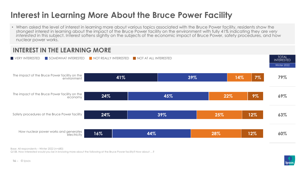### **Interest in Learning More About the Bruce Power Facility**

• When asked the level of interest in learning more about various topics associated with the Bruce Power facility, residents show the strongest interest in learning about the impact of the Bruce Power facility on the environment with fully 41% indicating they are *very*  interested in this subject. Interest softens slightly on the subjects of the economic impact of Bruce Power, safety procedures, and how nuclear power works.



Base: All respondents – Winter 2022 (n=680)

Q15B. How interested would you be in knowing more about the following at the Bruce Power facility? How about …?

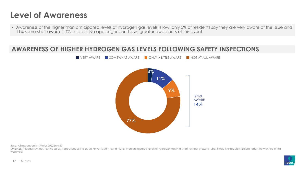### **Level of Awareness**

• Awareness of the higher than anticipated levels of hydrogen gas levels is low: only 3% of residents say they are very aware of the issue and 11% somewhat aware (14% in total). No age or gender shows greater awareness of this event.

#### **AWARENESS OF HIGHER HYDROGEN GAS LEVELS FOLLOWING SAFETY INSPECTIONS**



Base: All respondents – Winter 2022 (n=680)

QNEW25. This past summer, routine safety inspections as the Bruce Power facility found higher than anticipated levels of hydrogen gas in a small number pressure tubes inside two reactors. Before today, how aware of this were you?

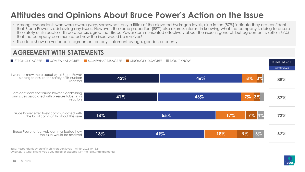## **Attitudes and Opinions About Bruce Power's Action on the Issue**

- Among respondents who were aware (very, somewhat, only a little) of the elevated hydrogen levels, nine in ten (87%) indicate they are confident that Bruce Power is addressing any issues. However, the same proportion (88%) also express interest in knowing what the company is doing to ensure the safety of its reactors. Three quarters agree that Bruce Power communicated effectively about the issue in general, but agreement is softer (67%) that the company communicated how the issue would be *resolved.*
- The data show no variance in agreement on any statement by age, gender, or county.



Base: Respondents aware of high hydrogen levels – Winter 2022 (n=182) QNEW26. To what extent would you agree or disagree with the following statements?

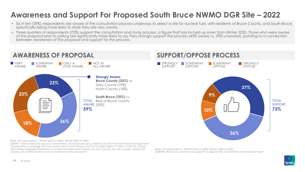#### **Awareness and Support For Proposed South Bruce NWMO DGR Site – 2022**

- Six in ten (59%) respondents are aware of the consultation process underway to select a site for nuclear fuel, with residents of Bruce County, and South Bruce specifically being more likely to state they are *very* aware.
- Three quarters of respondents (73%) support the consultation and study process, a figure that has inched up even from Winter 2020. Those who were aware of the proposal prior to polling are significantly more likely to say they *strongly support* the process (43% aware vs. 29% unaware), pointing to a connection between awareness of the proposal and support for the process.



Base: All respondents – Winter 2022 (n=680); Winter 2020 (n=600)

QNEW7. How aware are you of a consultation and study process underway by the Nuclear Waste Management Organization to engage with the community in South Bruce and the broader region to select a site for a longterm Deep Geological Repository for Spent Nuclear Fuel? Would you say that you are very aware, somewhat aware, only a little aware or not at all aware of this proposal ?

Base: All respondents – Winter 2022 (n=680); Winter 2020 (n=600) QNEW8. Would you say that you support or oppose this consultation and study process?

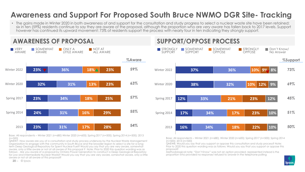#### **Awareness and Support For Proposed South Bruce NWMO DGR Site- Tracking**

• The gains made in Winter 2020 in both awareness of and support for the consultation and study progress to select a nuclear waste site have been retained: six in ten (59%) residents continue to say they are aware of the proposal, although the proportion who are *very aware* has fallen back to 2017 levels. Support however has continued its upward movement: 73% of residents support the process with nearly four in ten indicating they *strongly support.* 



Base: All respondents – Winter 2021 (n=680) Winter 2020 (n=600); Spring 2017 (n=500); Spring 2014 (n=500); 2013 (n=500)

QNEW7. How aware are you of a consultation and study process underway by the Nuclear Waste Management Organization to engage with the community in South Bruce and the broader region to select a site for a longterm Deep Geological Repository for Spent Nuclear Fuel? Would you say that you are very aware, somewhat aware, only a little aware or not at all aware of this proposal ? Note: Prior to 2020 this question wording was as follows: . Are you aware of a proposal by Ontario Power Generation to construct a Deep Geological Repository for Low and Intermediate Nuclear Waste? Would you say that you are very aware, somewhat aware, only a little aware or not at all aware of this proposal?



Base: All respondents – Winter 2021 (n=680), Winter 2020 (n=600); Spring 2017 (n=500); Spring 2014 (n=500); 2013 (n=500)

QNEW8. Would you say that you support or oppose this consultation and study process? Note: Prior to 2020 this question wording was as follows: Would you say that you support or oppose this proposal?

Methodological note: "Don't Know" was not an option provided- represented instead is the proportion who provided no response/ refused to answer in the telephone polling

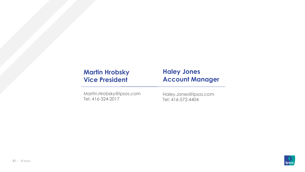#### **Martin Hrobsky Vice President**

#### **Haley Jones Account Manager**

Martin.Hrobsky@Ipsos.com Tel: 416-324-2017

Haley.Jones@Ipsos.com Tel: 416-572-4404

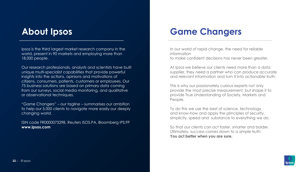#### **About Ipsos**

Ipsos is the third largest market research company in the world, present in 90 markets and employing more than 18,000 people.

Our research professionals, analysts and scientists have built unique multi-specialist capabilities that provide powerful insights into the actions, opinions and motivations of citizens, consumers, patients, customers or employees. Our 75 business solutions are based on primary data coming from our surveys, social media monitoring, and qualitative or observational techniques.

"Game Changers" – our tagline – summarises our ambition to help our 5,000 clients to navigate more easily our deeply changing world.

ISIN code FR0000073298, Reuters ISOS.PA, Bloomberg IPS:FP **www.ipsos.com**

### **Game Changers**

In our world of rapid change, the need for reliable information

to make confident decisions has never been greater.

At Ipsos we believe our clients need more than a data supplier, they need a partner who can produce accurate and relevant information and turn it into actionable truth.

This is why our passionately curious experts not only provide the most precise measurement, but shape it to provide True Understanding of Society, Markets and People.

To do this we use the best of science, technology and know-how and apply the principles of security, simplicity, speed and substance to everything we do.

So that our clients can act faster, smarter and bolder. Ultimately, success comes down to a simple truth: **You act better when you are sure.**